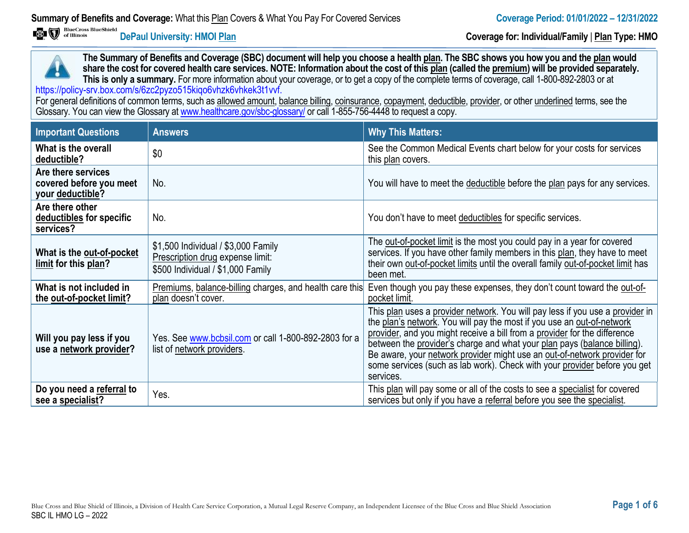**DePaul University: HMOI Plan Coverage for: Individual/Family** | **Plan Type: HMO**

**The Summary of Benefits and Coverage (SBC) document will help you choose a health plan. The SBC shows you how you and the plan would share the cost for covered health care services. NOTE: Information about the cost of this plan (called the premium) will be provided separately. This is only a summary.** For more information about your coverage, or to get a copy of the complete terms of coverage, call 1-800-892-2803 or at https://policy-srv.box.com/s/6zc2pyzo515kiqo6vhzk6vhkek3t1vvf.

For general definitions of common terms, such as allowed amount, balance billing, coinsurance, copayment, deductible, provider, or other underlined terms, see the Glossary. You can view the Glossary a[t www.healthcare.gov/sbc-glossary/](http://www.healthcare.gov/sbc-glossary/) or call 1-855-756-4448 to request a copy.

| <b>Important Questions</b>                                        | <b>Answers</b>                                                                                               | <b>Why This Matters:</b>                                                                                                                                                                                                                                                                                                                                                                                                                                                               |
|-------------------------------------------------------------------|--------------------------------------------------------------------------------------------------------------|----------------------------------------------------------------------------------------------------------------------------------------------------------------------------------------------------------------------------------------------------------------------------------------------------------------------------------------------------------------------------------------------------------------------------------------------------------------------------------------|
| What is the overall<br>deductible?                                | \$0                                                                                                          | See the Common Medical Events chart below for your costs for services<br>this plan covers.                                                                                                                                                                                                                                                                                                                                                                                             |
| Are there services<br>covered before you meet<br>your deductible? | No.                                                                                                          | You will have to meet the deductible before the plan pays for any services.                                                                                                                                                                                                                                                                                                                                                                                                            |
| Are there other<br>deductibles for specific<br>services?          | No.                                                                                                          | You don't have to meet deductibles for specific services.                                                                                                                                                                                                                                                                                                                                                                                                                              |
| What is the out-of-pocket<br>limit for this plan?                 | \$1,500 Individual / \$3,000 Family<br>Prescription drug expense limit:<br>\$500 Individual / \$1,000 Family | The out-of-pocket limit is the most you could pay in a year for covered<br>services. If you have other family members in this plan, they have to meet<br>their own out-of-pocket limits until the overall family out-of-pocket limit has<br>been met.                                                                                                                                                                                                                                  |
| What is not included in<br>the out-of-pocket limit?               | Premiums, balance-billing charges, and health care this<br>plan doesn't cover.                               | Even though you pay these expenses, they don't count toward the out-of-<br>pocket limit.                                                                                                                                                                                                                                                                                                                                                                                               |
| Will you pay less if you<br>use a network provider?               | Yes. See www.bcbsil.com or call 1-800-892-2803 for a<br>list of network providers.                           | This plan uses a provider network. You will pay less if you use a provider in<br>the plan's network. You will pay the most if you use an out-of-network<br>provider, and you might receive a bill from a provider for the difference<br>between the provider's charge and what your plan pays (balance billing).<br>Be aware, your network provider might use an out-of-network provider for<br>some services (such as lab work). Check with your provider before you get<br>services. |
| Do you need a referral to<br>see a specialist?                    | Yes.                                                                                                         | This plan will pay some or all of the costs to see a specialist for covered<br>services but only if you have a referral before you see the specialist.                                                                                                                                                                                                                                                                                                                                 |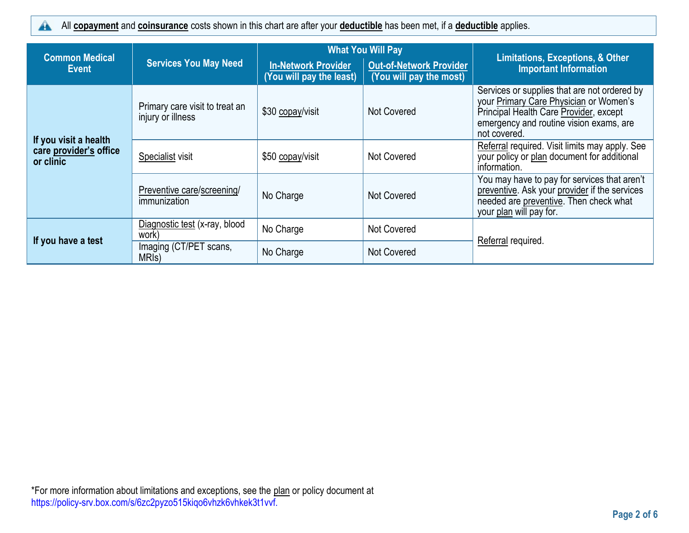All **copayment** and **coinsurance** costs shown in this chart are after your **deductible** has been met, if a **deductible** applies.  $\blacktriangle$ 

|                                                              |                                                     | <b>What You Will Pay</b>                               |                                                           |                                                                                                                                                                                             |  |
|--------------------------------------------------------------|-----------------------------------------------------|--------------------------------------------------------|-----------------------------------------------------------|---------------------------------------------------------------------------------------------------------------------------------------------------------------------------------------------|--|
| <b>Common Medical</b><br><b>Event</b>                        | <b>Services You May Need</b>                        | <b>In-Network Provider</b><br>(You will pay the least) | <b>Out-of-Network Provider</b><br>(You will pay the most) | <b>Limitations, Exceptions, &amp; Other</b><br><b>Important Information</b>                                                                                                                 |  |
|                                                              | Primary care visit to treat an<br>injury or illness | \$30 copay/visit                                       | Not Covered                                               | Services or supplies that are not ordered by<br>your Primary Care Physician or Women's<br>Principal Health Care Provider, except<br>emergency and routine vision exams, are<br>not covered. |  |
| If you visit a health<br>care provider's office<br>or clinic | Specialist visit                                    | \$50 copay/visit                                       | Not Covered                                               | Referral required. Visit limits may apply. See<br>your policy or plan document for additional<br>information.                                                                               |  |
|                                                              | Preventive care/screening/<br>immunization          | No Charge                                              | Not Covered                                               | You may have to pay for services that aren't<br>preventive. Ask your provider if the services<br>needed are preventive. Then check what<br>your plan will pay for.                          |  |
| If you have a test                                           | Diagnostic test (x-ray, blood<br>work)              | No Charge                                              | Not Covered                                               |                                                                                                                                                                                             |  |
|                                                              | Imaging (CT/PET scans,<br>MRI <sub>s</sub> )        | No Charge                                              | Not Covered                                               | Referral required.                                                                                                                                                                          |  |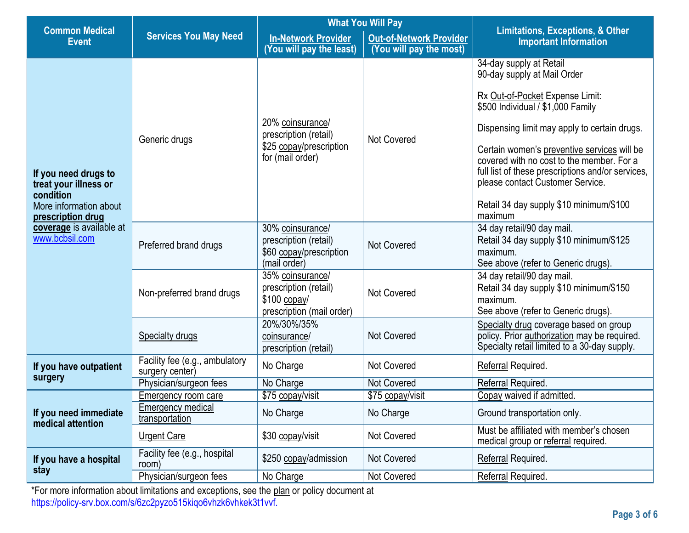|                                                                                                           |                                                                                                      | <b>What You Will Pay</b>                                                                 |                                                           |                                                                                                                                                                                                                                                                                                                                                                                                                           |
|-----------------------------------------------------------------------------------------------------------|------------------------------------------------------------------------------------------------------|------------------------------------------------------------------------------------------|-----------------------------------------------------------|---------------------------------------------------------------------------------------------------------------------------------------------------------------------------------------------------------------------------------------------------------------------------------------------------------------------------------------------------------------------------------------------------------------------------|
| <b>Common Medical</b><br><b>Event</b>                                                                     | <b>Services You May Need</b>                                                                         | <b>In-Network Provider</b><br>(You will pay the least)                                   | <b>Out-of-Network Provider</b><br>(You will pay the most) | <b>Limitations, Exceptions, &amp; Other</b><br><b>Important Information</b>                                                                                                                                                                                                                                                                                                                                               |
| If you need drugs to<br>treat your illness or<br>condition<br>More information about<br>prescription drug | Generic drugs                                                                                        | 20% coinsurance/<br>prescription (retail)<br>\$25 copay/prescription<br>for (mail order) | <b>Not Covered</b>                                        | 34-day supply at Retail<br>90-day supply at Mail Order<br>Rx Out-of-Pocket Expense Limit:<br>\$500 Individual / \$1,000 Family<br>Dispensing limit may apply to certain drugs.<br>Certain women's preventive services will be<br>covered with no cost to the member. For a<br>full list of these prescriptions and/or services,<br>please contact Customer Service.<br>Retail 34 day supply \$10 minimum/\$100<br>maximum |
| coverage is available at<br>www.bcbsil.com                                                                | Preferred brand drugs                                                                                | 30% coinsurance/<br>prescription (retail)<br>\$60 copay/prescription<br>(mail order)     | <b>Not Covered</b>                                        | 34 day retail/90 day mail.<br>Retail 34 day supply \$10 minimum/\$125<br>maximum.<br>See above (refer to Generic drugs).                                                                                                                                                                                                                                                                                                  |
|                                                                                                           | Non-preferred brand drugs                                                                            | 35% coinsurance/<br>prescription (retail)<br>$$100$ copay/<br>prescription (mail order)  | <b>Not Covered</b>                                        | 34 day retail/90 day mail.<br>Retail 34 day supply \$10 minimum/\$150<br>maximum.<br>See above (refer to Generic drugs).                                                                                                                                                                                                                                                                                                  |
|                                                                                                           | 20%/30%/35%<br><b>Not Covered</b><br><b>Specialty drugs</b><br>coinsurance/<br>prescription (retail) |                                                                                          |                                                           | Specialty drug coverage based on group<br>policy. Prior authorization may be required.<br>Specialty retail limited to a 30-day supply.                                                                                                                                                                                                                                                                                    |
| If you have outpatient<br>surgery                                                                         | Facility fee (e.g., ambulatory<br>surgery center)                                                    | No Charge                                                                                | <b>Not Covered</b>                                        | Referral Required.                                                                                                                                                                                                                                                                                                                                                                                                        |
|                                                                                                           | Physician/surgeon fees                                                                               | No Charge                                                                                | <b>Not Covered</b>                                        | Referral Required.                                                                                                                                                                                                                                                                                                                                                                                                        |
|                                                                                                           | Emergency room care                                                                                  | \$75 copay/visit                                                                         | \$75 copay/visit                                          | Copay waived if admitted.                                                                                                                                                                                                                                                                                                                                                                                                 |
| If you need immediate<br>medical attention                                                                | <b>Emergency medical</b><br>transportation                                                           | No Charge                                                                                | No Charge                                                 | Ground transportation only.                                                                                                                                                                                                                                                                                                                                                                                               |
|                                                                                                           | <b>Urgent Care</b>                                                                                   | \$30 copay/visit                                                                         | Not Covered                                               | Must be affiliated with member's chosen<br>medical group or referral required.                                                                                                                                                                                                                                                                                                                                            |
| If you have a hospital                                                                                    | Facility fee (e.g., hospital<br>room)                                                                | \$250 copay/admission                                                                    | <b>Not Covered</b>                                        | Referral Required.                                                                                                                                                                                                                                                                                                                                                                                                        |
| stay                                                                                                      | Physician/surgeon fees                                                                               | No Charge                                                                                | Not Covered                                               | Referral Required.                                                                                                                                                                                                                                                                                                                                                                                                        |

\*For more information about limitations and exceptions, see the plan or policy document at https://policy-srv.box.com/s/6zc2pyzo515kiqo6vhzk6vhkek3t1vvf.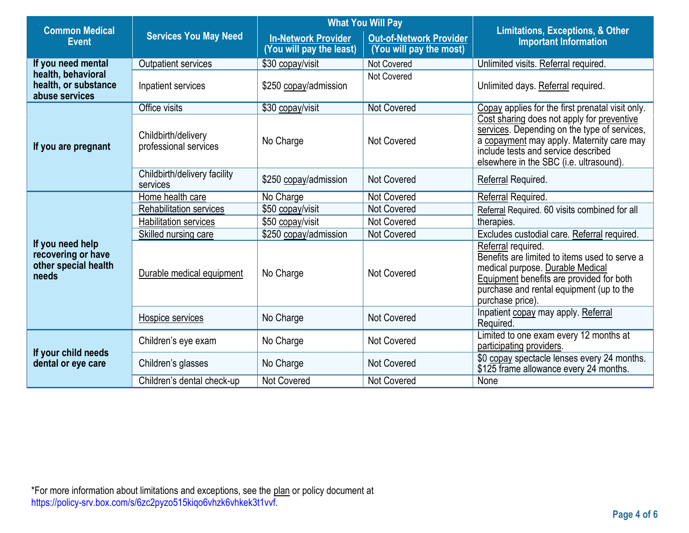| <b>Common Medical</b>                                                   | <b>Services You May Need</b>                 | <b>What You Will Pay</b>                               |                                                           |                                                                                                                                                                                                                           |  |
|-------------------------------------------------------------------------|----------------------------------------------|--------------------------------------------------------|-----------------------------------------------------------|---------------------------------------------------------------------------------------------------------------------------------------------------------------------------------------------------------------------------|--|
| <b>Event</b>                                                            |                                              | <b>In-Network Provider</b><br>(You will pay the least) | <b>Out-of-Network Provider</b><br>(You will pay the most) | <b>Limitations, Exceptions, &amp; Other</b><br><b>Important Information</b>                                                                                                                                               |  |
| If you need mental                                                      | <b>Outpatient services</b>                   | \$30 copay/visit                                       | Not Covered                                               | Unlimited visits. Referral required.                                                                                                                                                                                      |  |
| health, behavioral<br>health, or substance<br>abuse services            | Inpatient services                           | \$250 copay/admission                                  | Not Covered                                               | Unlimited days. Referral required.                                                                                                                                                                                        |  |
|                                                                         | Office visits                                | \$30 copay/visit                                       | <b>Not Covered</b>                                        | Copay applies for the first prenatal visit only.                                                                                                                                                                          |  |
| If you are pregnant                                                     | Childbirth/delivery<br>professional services | No Charge                                              | Not Covered                                               | Cost sharing does not apply for preventive<br>services. Depending on the type of services,<br>a copayment may apply. Maternity care may<br>include tests and service described<br>elsewhere in the SBC (i.e. ultrasound). |  |
|                                                                         | Childbirth/delivery facility<br>services     | \$250 copay/admission                                  | <b>Not Covered</b>                                        | Referral Required.                                                                                                                                                                                                        |  |
|                                                                         | Home health care                             | No Charge                                              | <b>Not Covered</b>                                        | Referral Required.                                                                                                                                                                                                        |  |
|                                                                         | <b>Rehabilitation services</b>               | \$50 copay/visit                                       | <b>Not Covered</b>                                        | Referral Required. 60 visits combined for all                                                                                                                                                                             |  |
|                                                                         | <b>Habilitation services</b>                 | \$50 copay/visit                                       | <b>Not Covered</b>                                        | therapies.                                                                                                                                                                                                                |  |
|                                                                         | Skilled nursing care                         | \$250 copay/admission                                  | <b>Not Covered</b>                                        | Excludes custodial care. Referral required.                                                                                                                                                                               |  |
| If you need help<br>recovering or have<br>other special health<br>needs | Durable medical equipment                    | No Charge                                              | Not Covered                                               | Referral required.<br>Benefits are limited to items used to serve a<br>medical purpose. Durable Medical<br>Equipment benefits are provided for both<br>purchase and rental equipment (up to the<br>purchase price).       |  |
|                                                                         | Hospice services                             | No Charge                                              | <b>Not Covered</b>                                        | Inpatient copay may apply. Referral<br>Required.                                                                                                                                                                          |  |
| If your child needs<br>dental or eye care                               | Children's eye exam                          | No Charge                                              | <b>Not Covered</b>                                        | Limited to one exam every 12 months at<br>participating providers.                                                                                                                                                        |  |
|                                                                         | Children's glasses                           | No Charge                                              | <b>Not Covered</b>                                        | \$0 copay spectacle lenses every 24 months.<br>\$125 frame allowance every 24 months.                                                                                                                                     |  |
|                                                                         | Children's dental check-up                   | <b>Not Covered</b>                                     | Not Covered                                               | None                                                                                                                                                                                                                      |  |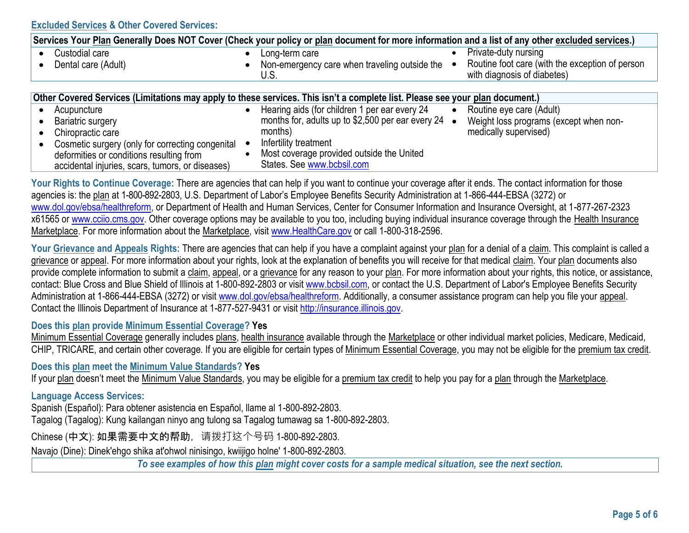| Services Your Plan Generally Does NOT Cover (Check your policy or plan document for more information and a list of any other excluded services.) |                                                             |                                                                                |  |
|--------------------------------------------------------------------------------------------------------------------------------------------------|-------------------------------------------------------------|--------------------------------------------------------------------------------|--|
| Custodial care                                                                                                                                   | Long-term care                                              | Private-duty nursing                                                           |  |
| Dental care (Adult)                                                                                                                              | Non-emergency care when traveling outside the<br>U.S.       | Routine foot care (with the exception of person<br>with diagnosis of diabetes) |  |
|                                                                                                                                                  |                                                             |                                                                                |  |
| Other Covered Services (Limitations may apply to these services. This isn't a complete list. Please see your plan document.)                     |                                                             |                                                                                |  |
| Acupuncture                                                                                                                                      | Hearing aids (for children 1 per ear every 24               | Routine eye care (Adult)                                                       |  |
| <b>Bariatric surgery</b>                                                                                                                         | months for, adults up to \$2,500 per ear every 24 $\bullet$ | Weight loss programs (except when non-                                         |  |
| $\mathbf{A}$                                                                                                                                     | $m \cdot h \cdot h$                                         | د المحمد بين محمد بن المحال محمد المحمد المحمد ال                              |  |

 Chiropractic care • Cosmetic surgery (only for correcting congenital deformities or conditions resulting from accidental injuries, scars, tumors, or diseases) months) Infertility treatment Most coverage provided outside the United States. See [www.bcbsil.com](http://www.bcbsil.com/) medically supervised)

Your Rights to Continue Coverage: There are agencies that can help if you want to continue your coverage after it ends. The contact information for those agencies is: the plan at 1-800-892-2803, U.S. Department of Labor's Employee Benefits Security Administration at 1-866-444-EBSA (3272) or [www.dol.gov/ebsa/healthreform,](http://www.dol.gov/ebsa/healthreform) or Department of Health and Human Services, Center for Consumer Information and Insurance Oversight, at 1-877-267-2323 x61565 or [www.cciio.cms.gov.](file:///C:/Users/bpellegrini/Downloads/www.cciio.cms.gov) Other coverage options may be available to you too, including buying individual insurance coverage through the Health Insurance Marketplace. For more information about the Marketplace, visi[t www.HealthCare.gov](file:///C:/Users/bpellegrini/Downloads/www.HealthCare.gov) or call 1-800-318-2596.

Your Grievance and Appeals Rights: There are agencies that can help if you have a complaint against your plan for a denial of a claim. This complaint is called a grievance or appeal. For more information about your rights, look at the explanation of benefits you will receive for that medical claim. Your plan documents also provide complete information to submit a claim, appeal, or a grievance for any reason to your plan. For more information about your rights, this notice, or assistance, contact: Blue Cross and Blue Shield of Illinois at 1-800-892-2803 or visit [www.bcbsil.com,](http://www.bcbsil.com/) or contact the U.S. Department of Labor's Employee Benefits Security Administration at 1-866-444-EBSA (3272) or visit [www.dol.gov/ebsa/healthreform.](file:///C:/Users/bpellegrini/Downloads/www.dol.gov/ebsa/healthreform) Additionally, a consumer assistance program can help you file your appeal. Contact the Illinois Department of Insurance at 1-877-527-9431 or visit [http://insurance.illinois.gov.](http://insurance.illinois.gov/)

#### **Does this plan provide Minimum Essential Coverage? Yes**

Minimum Essential Coverage [g](https://www.healthcare.gov/sbc-glossary/#minimum-essential-coverage)enerally includes plans, health insurance available through the Marketplace or other individual market policies, Medicare, Medicaid, CHIP, TRICARE, and certain other coverage. If you are eligible for certain types of Minimum Essential Coverage, you may not be eligible for the premium tax credit.

**Does this plan meet the Minimum Value Standards? Yes**

If your plan doesn't meet the Minimum Value Standard[s,](https://www.healthcare.gov/sbc-glossary/#minimum-value-standard) you may be eligible for a premium tax credi[t](https://www.healthcare.gov/sbc-glossary/#premium-tax-credits) to help you pay for a plan through the Marketplace.

### **Language Access Services:**

Spanish (Español): Para obtener asistencia en Español, llame al 1-800-892-2803.

Tagalog (Tagalog): Kung kailangan ninyo ang tulong sa Tagalog tumawag sa 1-800-892-2803.

Chinese (中文): 如果需要中文的帮助,请拨打这个号码 1-800-892-2803.

Navajo (Dine): Dinek'ehgo shika at'ohwol ninisingo, kwiijigo holne' 1-800-892-2803.

*To see examples of how this plan might cover costs for a sample medical situation, see the next section.*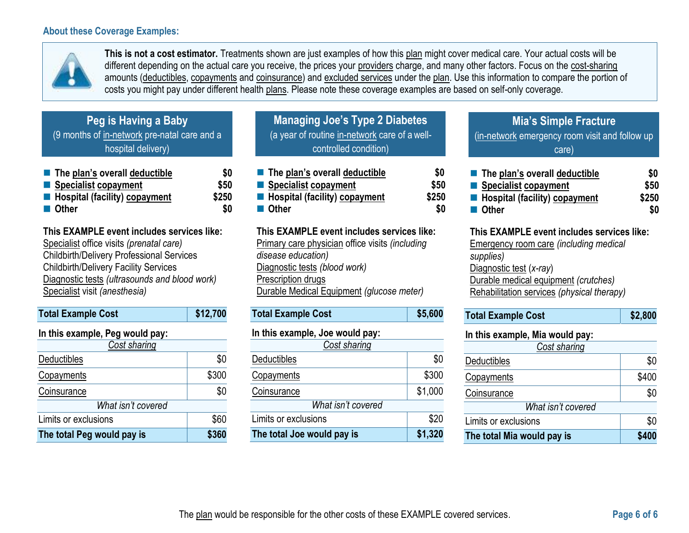## **About these Coverage Examples:**



**This is not a cost estimator.** Treatments shown are just examples of how this plan might cover medical care. Your actual costs will be different depending on the actual care you receive, the prices your providers charge, and many other factors. Focus on the cost-sharing amounts (deductibles, copayments and coinsurance) and excluded services under the plan. Use this information to compare the portion of costs you might pay under different health plans. Please note these coverage examples are based on self-only coverage.

| Peg is Having a Baby                         |
|----------------------------------------------|
| (9 months of in-network pre-natal care and a |
| hospital delivery)                           |

| $\blacksquare$ The plan's overall deductible | \$0   |
|----------------------------------------------|-------|
| ■ Specialist copayment                       | \$50  |
| Hospital (facility) copayment                | \$250 |
| ■ Other                                      | \$0   |

**This EXAMPLE event includes services like:** Specialist office visits *(prenatal care)* Childbirth/Delivery Professional Services Childbirth/Delivery Facility Services Diagnostic tests *(ultrasounds and blood work)* Specialist visit *(anesthesia)*

| <b>Total Example Cost</b>       | \$12,700 |
|---------------------------------|----------|
| In this example, Peg would pay: |          |
| Cost sharing                    |          |
| <b>Deductibles</b>              | \$0      |
| Copayments                      | \$300    |
| Coinsurance                     | \$0      |
| What isn't covered              |          |
| Limits or exclusions            | \$60     |
| The total Peg would pay is      | \$360    |

| <b>Managing Joe's Type 2 Diabetes</b>         |
|-----------------------------------------------|
| (a year of routine in-network care of a well- |
| controlled condition)                         |
|                                               |

| The plan's overall deductible | \$0   |
|-------------------------------|-------|
| Specialist copayment          | \$50  |
| Hospital (facility) copayment | \$250 |
| <b>■ Other</b>                | \$0   |
|                               |       |

**This EXAMPLE event includes services like:** Primary care physician office visits *(including disease education)* Diagnostic tests *(blood work)* Prescription drugs Durable Medical Equipment *(glucose meter)*

| <b>Total Example Cost</b>       | \$5,600 |
|---------------------------------|---------|
| In this example, Joe would pay: |         |
| Cost sharing                    |         |
| Deductibles                     | \$0     |
| Conavments                      | \$300   |

| Coinsurance                | \$1,000 |
|----------------------------|---------|
| What isn't covered         |         |
| Limits or exclusions       | \$20    |
| The total Joe would pay is | \$1,320 |

# **Mia's Simple Fracture** (in-network emergency room visit and follow up care)

| $\blacksquare$ The plan's overall deductible | \$0   |
|----------------------------------------------|-------|
| Specialist copayment                         | \$50  |
| <b>E</b> Hospital (facility) copayment       | \$250 |
| ■ Other                                      | \$0   |

## **This EXAMPLE event includes services like:**

Emergency room care *(including medical supplies)* Diagnostic test (*x-ray*) Durable medical equipment *(crutches)* Rehabilitation services *(physical therapy)*

**In this example, Mia would pay:**

| Cost sharing               |       |  |  |
|----------------------------|-------|--|--|
| Deductibles                | \$0   |  |  |
| Copayments                 | \$400 |  |  |
| Coinsurance                | \$0   |  |  |
| What isn't covered         |       |  |  |
| Limits or exclusions       | \$0   |  |  |
| The total Mia would pay is | \$400 |  |  |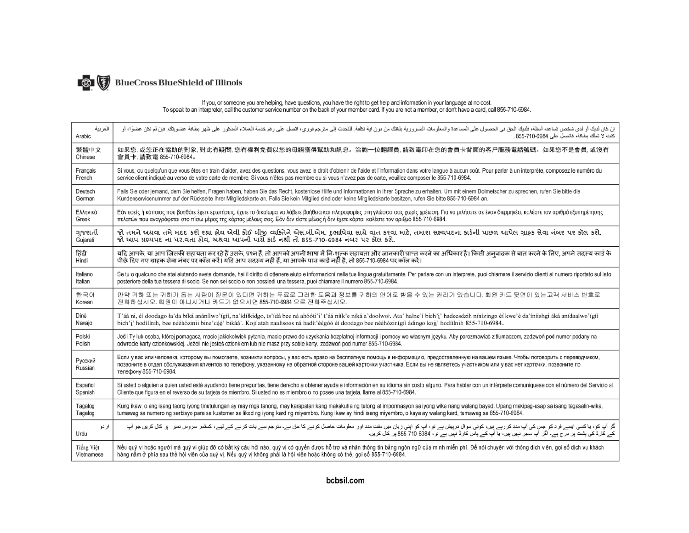

# If you, or someone you are helping, have questions, you have the right to get help and information in your language at no cost.<br>To speak to an interpreter, call the customer service number on the back of your member card.

| العربية            | إن كان لنيك أو لدى شخص تساعده أسئلة، فلنيك الحول على لمساعدة والمعلومات الضرورية بلغتك من درنا ية تكلفة إلى مترجم فرري، اتصل على رقم خنمة العملاء المذكور على ظهر بطاقة عضويتك. فإن لم تكن عضوا، أو                                                                                                                                                                                                    |
|--------------------|--------------------------------------------------------------------------------------------------------------------------------------------------------------------------------------------------------------------------------------------------------------------------------------------------------------------------------------------------------------------------------------------------------|
| Arabic             | كنت لا تملك بطاقة، فاتصل على 6984-710-655.                                                                                                                                                                                                                                                                                                                                                             |
| 繁體中文               | 如果您,或您正在協助的對象,對此有疑問,您有權利免費以您的母語獲得幫助和訊息。洽詢一位翻譯員,請致電印在您的會員卡背面的客戶服務電話號碼。如果您不是會員,或沒有                                                                                                                                                                                                                                                                                                                       |
| Chinese            | 會員卡. 請致電 855-710-6984。                                                                                                                                                                                                                                                                                                                                                                                 |
| Français           | Si vous, ou quelqu'un que vous êtes en train d'aider, avez des questions, vous avez le droit d'obtenir de l'aide et l'information dans votre lanque à aucun coût. Pour parler à un interprète, composez le numéro du                                                                                                                                                                                   |
| French             | service client indiqué au verso de votre carte de membre. Si vous n'êtes pas membre ou si vous n'avez pas de carte, veuillez composer le 855-710-6984.                                                                                                                                                                                                                                                 |
| Deutsch            | Falls Sie oder jemand, dem Sie helfen, Fragen haben, haben Sie das Recht, kostenlose Hilfe und Informationen in Ihrer Sprache zu erhalten. Um mit einem Dolmetscher zu sprechen, rufen Sie bitte die                                                                                                                                                                                                   |
| German             | Kundenservicenummer auf der Rückseite Ihrer Mitgliedskarte an. Falls Sie kein Mitglied sind oder keine Mitgliedskarte besitzen, rufen Sie bitte 855-710-6984 an.                                                                                                                                                                                                                                       |
| Ελληνικά           | Εάν εσείς ή κάποιος που βοηθάτε έχετε ερωτήσεις, έχετε το δικαίωμα να λάβετε βοήθεια και πληροφορίες στη γλώσσα σας χωρίς χρέωση. Για να μιλήσετε σε έναν διερμηνέα, καλέστε τον αριθμό εξυπηρέτησης                                                                                                                                                                                                   |
| Greek              | πελατών που αναγράφεται στο πίσω μέρος της κάρτας μέλους σας. Εάν δεν είστε μέλος ή δεν έχετε κάρτα, καλέστε τον αριθμό 855-710-6984.                                                                                                                                                                                                                                                                  |
| ગુજરાતી            | જો તમને અથવા તમે મદદ કરી રહ્યા હોય એવી કોઈ બીજી વ્યક્તિને એસ.બી.એમ. દુભાષિયા સાથે વાત કરવા માટે, તમારા સભ્યપદના કાર્ડની પાછળ આપેલ ગ્રાહક સેવા નંબર પર કૉલ કરો.                                                                                                                                                                                                                                         |
| Gujarati           | જો આપ સભ્યપદ ના ધરાવતા હોવ. અથવા આપની પાસે કાર્ડ નથી તો 855-710-6984 નંબર પર કૉલ કરો.                                                                                                                                                                                                                                                                                                                  |
| हिंदी<br>Hindi     | यदि आपके, या आप जिसकी सहायता कर रहे हैं उसके, प्रश्न हैं, तो आपको अपनी भाषा में निःशुल्क सहायता और जानकारी प्राप्त करने का अधिकार है। किसी अनुवादक से बात करने के लिए, अपने सदस्य कार्ड के<br>पीछे दिए गए ग्राहक सेवा नंबर पर कॉ                                                                                                                                                                       |
| Italiano           | Se tu o qualcuno che stai aiutando avete domande, hai il diritto di ottenere aiuto e informazioni nella tua lingua gratuitamente. Per parlare con un interprete, puoi chiamare il servizio clienti al numero riportato sul lat                                                                                                                                                                         |
| Italian            | posteriore della tua tessera di socio. Se non sei socio o non possiedi una tessera, puoi chiamare il numero 855-710-6984.                                                                                                                                                                                                                                                                              |
| 한국어                | 만약 귀하 또는 귀하가 돕는 사람이 질문이 있다면 귀하는 무료로 그러한 도움과 정보를 귀하의 언어로 받을 수 있는 권리가 있습니다. 회원 카드 뒷면에 있는고객 서비스 번호로                                                                                                                                                                                                                                                                                                       |
| Korean             | 전화하십시오. 회원이 아니시거나 카드가 없으시면 855-710-6984 으로 전화주십시오.                                                                                                                                                                                                                                                                                                                                                     |
| Diné               | T'áá ni, éi doodago ła'da bíká anánílwo'ígíí, na'idíłkidgo, ts'ídá bee ná ahóóti'i' t'áá níík'e níká a'doolwoł. Ata' halne'í bich'i' hadeesdzih nínízingo éi kwe'é da'íníishgi áká anídaalwo'ígíí                                                                                                                                                                                                      |
| Navajo             | bich'i' hodíílnih, bee nééhózinii bine'déé' bikáá'. Kojí atah naaltsoos ná hadít'éégóó éí doodago bee nééhózinígíí ádingo koji' hodíílnih 855-710-6984.                                                                                                                                                                                                                                                |
| Polski             | Jeśli Ty lub osoba, której pomagasz, macie jakiekolwiek pytania, macie prawo do uzyskania bezpłatnej informacji i pomocy we własnym języku. Aby porozmawiać z tłumaczem, zadzwoń pod numer podany na                                                                                                                                                                                                   |
| Polish             | odwrocie karty członkowskiej. Jeżeli nie jesteś członkiem lub nie masz przy sobie karty, zadzwoń pod numer 855-710-6984.                                                                                                                                                                                                                                                                               |
| Русский<br>Russian | Если у вас или человека, которому вы помогаете, возникли вопросы, у вас есть право на бесплатную помощь и информацию, предоставленную на вашем языке. Чтобы поговорить с переводчиком,<br>позвоните в отдел обслуживания клиентов по телефону, указанному на обратной стороне вашей карточки участника. Если вы не являетесь участником или у вас нет карточки, позвоните по<br>телефону 855-710-6984. |
| Español            | Si usted o alguien a quien usted está ayudando tiene preguntas, tiene derecho a obtener ayuda e información en su idioma sin costo alguno. Para hablar con un intérprete comuníquese con el número del Servicio al                                                                                                                                                                                     |
| Spanish            | Cliente que figura en el reverso de su tarjeta de miembro. Si usted no es miembro o no posee una tarjeta, llame al 855-710-6984.                                                                                                                                                                                                                                                                       |
| Tagalog            | Kung ikaw, o ang isang taong iyong tinutulungan ay may mga tanong, may karapatan kang makakuha ng tulong at impormasyon sa iyong wika nang walang bayad. Upang makipag-usap sa isang tagasalin-wika,                                                                                                                                                                                                   |
| Tagalog            | tumawag sa numero ng serbisyo para sa kustomer sa likod ng iyong kard ng miyembro. Kung ikaw ay hindi isang miyembro, o kaya ay walang kard, tumawag sa 855-710-6984.                                                                                                                                                                                                                                  |
| اردو               | گر آپ کو، یا کسی ایسے فرد کو جس کی آپ مدد کررہے ہیں، کرنی سوال سے بڑا کرنے کی سے کرنے کی اس کی جانگ کرنے کے لیے کے لیے، کشر سروس نمبر پر کل کریں جو آپ کی کہن سروس نمبر پر کل کریں جو آپ کی کہن سروس نمبر پر کل کریں جو آپ                                                                                                                                                                             |
| Urdu               | کے کارڈ کی پشت پر در ج ہے۔ اگر آپ ممبر نہیں ہیں، یا آپ کے پاس کارڈ نہیں ہے تو ، 6984-710-555 پر کال کریں۔                                                                                                                                                                                                                                                                                              |
| Tiếng Việt         | Nếu quý vị hoặc người mà quý vị giúp đỡ có bất kỳ câu hỏi nào, quý vị có quyền được hỗ trợ và nhận thông tin bằng ngôn ngữ của mình miễn phí. Để nói chuyện với thông dịch viên, gọi số dịch vụ khách                                                                                                                                                                                                  |
| Vietnamese         | hàng nằm ở phía sau thẻ hội viên của quý vị. Nếu quý vị không phải là hội viên hoặc không có thẻ, gọi số 855-710-6984.                                                                                                                                                                                                                                                                                 |